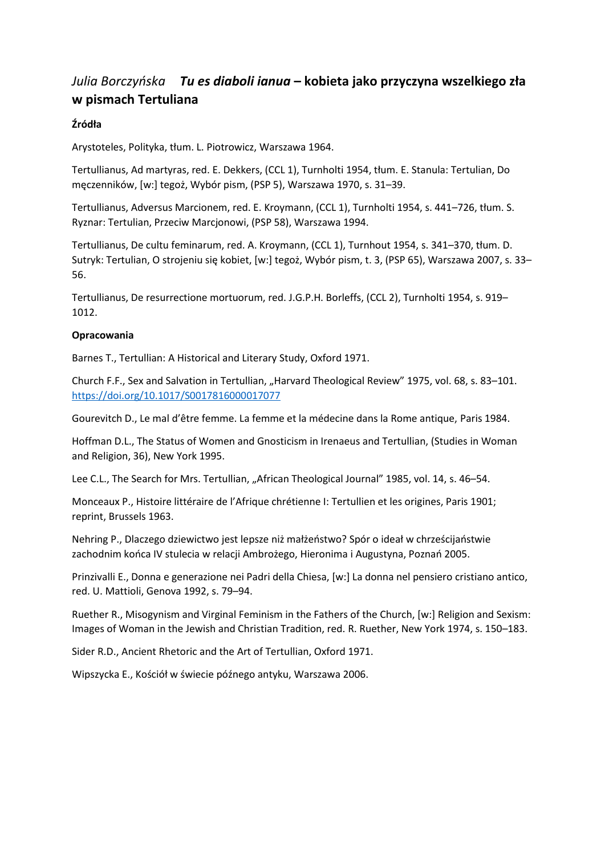### *Julia Borczyńska Tu es diaboli ianua* **– kobieta jako przyczyna wszelkiego zła w pismach Tertuliana**

### **Źródła**

Arystoteles, Polityka, tłum. L. Piotrowicz, Warszawa 1964.

Tertullianus, Ad martyras, red. E. Dekkers, (CCL 1), Turnholti 1954, tłum. E. Stanula: Tertulian, Do męczenników, [w:] tegoż, Wybór pism, (PSP 5), Warszawa 1970, s. 31–39.

Tertullianus, Adversus Marcionem, red. E. Kroymann, (CCL 1), Turnholti 1954, s. 441–726, tłum. S. Ryznar: Tertulian, Przeciw Marcjonowi, (PSP 58), Warszawa 1994.

Tertullianus, De cultu feminarum, red. A. Kroymann, (CCL 1), Turnhout 1954, s. 341–370, tłum. D. Sutryk: Tertulian, O strojeniu się kobiet, [w:] tegoż, Wybór pism, t. 3, (PSP 65), Warszawa 2007, s. 33– 56.

Tertullianus, De resurrectione mortuorum, red. J.G.P.H. Borleffs, (CCL 2), Turnholti 1954, s. 919– 1012.

#### **Opracowania**

Barnes T., Tertullian: A Historical and Literary Study, Oxford 1971.

Church F.F., Sex and Salvation in Tertullian, "Harvard Theological Review" 1975, vol. 68, s. 83-101. <https://doi.org/10.1017/S0017816000017077>

Gourevitch D., Le mal d'être femme. La femme et la médecine dans la Rome antique, Paris 1984.

Hoffman D.L., The Status of Women and Gnosticism in Irenaeus and Tertullian, (Studies in Woman and Religion, 36), New York 1995.

Lee C.L., The Search for Mrs. Tertullian, "African Theological Journal" 1985, vol. 14, s. 46–54.

Monceaux P., Histoire littéraire de l'Afrique chrétienne I: Tertullien et les origines, Paris 1901; reprint, Brussels 1963.

Nehring P., Dlaczego dziewictwo jest lepsze niż małżeństwo? Spór o ideał w chrześcijaństwie zachodnim końca IV stulecia w relacji Ambrożego, Hieronima i Augustyna, Poznań 2005.

Prinzivalli E., Donna e generazione nei Padri della Chiesa, [w:] La donna nel pensiero cristiano antico, red. U. Mattioli, Genova 1992, s. 79–94.

Ruether R., Misogynism and Virginal Feminism in the Fathers of the Church, [w:] Religion and Sexism: Images of Woman in the Jewish and Christian Tradition, red. R. Ruether, New York 1974, s. 150–183.

Sider R.D., Ancient Rhetoric and the Art of Tertullian, Oxford 1971.

Wipszycka E., Kościół w świecie późnego antyku, Warszawa 2006.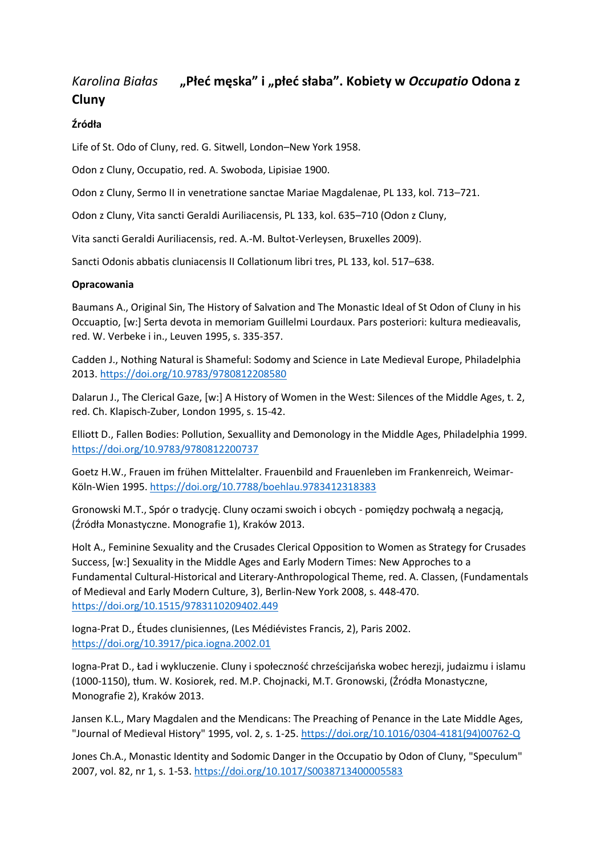# *Karolina Białas* **"Płeć męska" i "płeć słaba". Kobiety w** *Occupatio* **Odona z Cluny**

### **Źródła**

Life of St. Odo of Cluny, red. G. Sitwell, London–New York 1958.

Odon z Cluny, Occupatio, red. A. Swoboda, Lipisiae 1900.

Odon z Cluny, Sermo II in venetratione sanctae Mariae Magdalenae, PL 133, kol. 713–721.

Odon z Cluny, Vita sancti Geraldi Auriliacensis, PL 133, kol. 635–710 (Odon z Cluny,

Vita sancti Geraldi Auriliacensis, red. A.-M. Bultot-Verleysen, Bruxelles 2009).

Sancti Odonis abbatis cluniacensis II Collationum libri tres, PL 133, kol. 517–638.

#### **Opracowania**

Baumans A., Original Sin, The History of Salvation and The Monastic Ideal of St Odon of Cluny in his Occuaptio, [w:] Serta devota in memoriam Guillelmi Lourdaux. Pars posteriori: kultura medieavalis, red. W. Verbeke i in., Leuven 1995, s. 335-357.

Cadden J., Nothing Natural is Shameful: Sodomy and Science in Late Medieval Europe, Philadelphia 2013. <https://doi.org/10.9783/9780812208580>

Dalarun J., The Clerical Gaze, [w:] A History of Women in the West: Silences of the Middle Ages, t. 2, red. Ch. Klapisch-Zuber, London 1995, s. 15-42.

Elliott D., Fallen Bodies: Pollution, Sexuallity and Demonology in the Middle Ages, Philadelphia 1999. <https://doi.org/10.9783/9780812200737>

Goetz H.W., Frauen im frühen Mittelalter. Frauenbild and Frauenleben im Frankenreich, Weimar-Köln-Wien 1995. <https://doi.org/10.7788/boehlau.9783412318383>

Gronowski M.T., Spór o tradycję. Cluny oczami swoich i obcych - pomiędzy pochwałą a negacją, (Źródła Monastyczne. Monografie 1), Kraków 2013.

Holt A., Feminine Sexuality and the Crusades Clerical Opposition to Women as Strategy for Crusades Success, [w:] Sexuality in the Middle Ages and Early Modern Times: New Approches to a Fundamental Cultural-Historical and Literary-Anthropological Theme, red. A. Classen, (Fundamentals of Medieval and Early Modern Culture, 3), Berlin-New York 2008, s. 448-470. <https://doi.org/10.1515/9783110209402.449>

Iogna-Prat D., Études clunisiennes, (Les Médiévistes Francis, 2), Paris 2002. <https://doi.org/10.3917/pica.iogna.2002.01>

Iogna-Prat D., Ład i wykluczenie. Cluny i społeczność chrześcijańska wobec herezji, judaizmu i islamu (1000-1150), tłum. W. Kosiorek, red. M.P. Chojnacki, M.T. Gronowski, (Źródła Monastyczne, Monografie 2), Kraków 2013.

Jansen K.L., Mary Magdalen and the Mendicans: The Preaching of Penance in the Late Middle Ages, "Journal of Medieval History" 1995, vol. 2, s. 1-25. [https://doi.org/10.1016/0304-4181\(94\)00762-Q](https://doi.org/10.1016/0304-4181(94)00762-Q)

Jones Ch.A., Monastic Identity and Sodomic Danger in the Occupatio by Odon of Cluny, "Speculum" 2007, vol. 82, nr 1, s. 1-53. <https://doi.org/10.1017/S0038713400005583>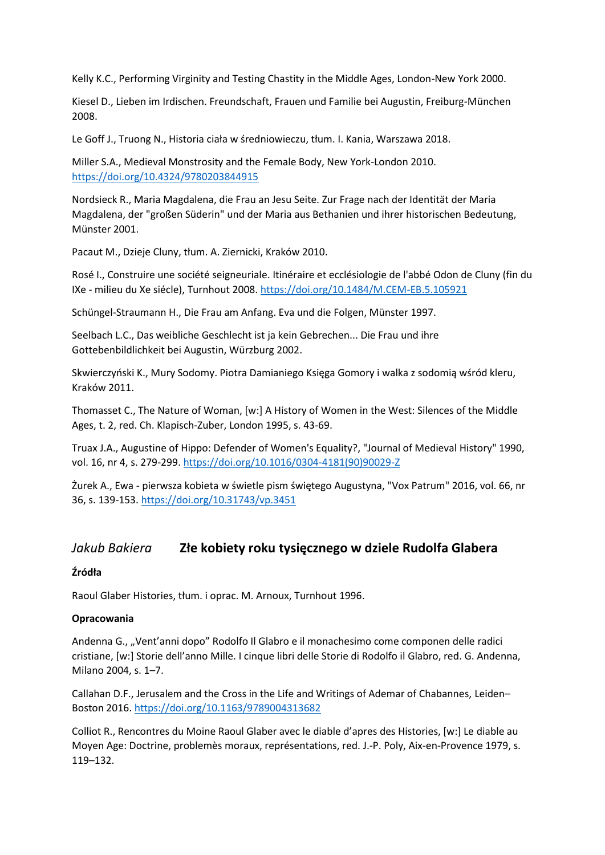Kelly K.C., Performing Virginity and Testing Chastity in the Middle Ages, London-New York 2000.

Kiesel D., Lieben im Irdischen. Freundschaft, Frauen und Familie bei Augustin, Freiburg-München 2008.

Le Goff J., Truong N., Historia ciała w średniowieczu, tłum. I. Kania, Warszawa 2018.

Miller S.A., Medieval Monstrosity and the Female Body, New York-London 2010. <https://doi.org/10.4324/9780203844915>

Nordsieck R., Maria Magdalena, die Frau an Jesu Seite. Zur Frage nach der Identität der Maria Magdalena, der "großen Süderin" und der Maria aus Bethanien und ihrer historischen Bedeutung, Münster 2001.

Pacaut M., Dzieje Cluny, tłum. A. Ziernicki, Kraków 2010.

Rosé I., Construire une société seigneuriale. Itinéraire et ecclésiologie de l'abbé Odon de Cluny (fin du IXe - milieu du Xe siécle), Turnhout 2008. <https://doi.org/10.1484/M.CEM-EB.5.105921>

Schüngel-Straumann H., Die Frau am Anfang. Eva und die Folgen, Münster 1997.

Seelbach L.C., Das weibliche Geschlecht ist ja kein Gebrechen... Die Frau und ihre Gottebenbildlichkeit bei Augustin, Würzburg 2002.

Skwierczyński K., Mury Sodomy. Piotra Damianiego Księga Gomory i walka z sodomią wśród kleru, Kraków 2011.

Thomasset C., The Nature of Woman, [w:] A History of Women in the West: Silences of the Middle Ages, t. 2, red. Ch. Klapisch-Zuber, London 1995, s. 43-69.

Truax J.A., Augustine of Hippo: Defender of Women's Equality?, "Journal of Medieval History" 1990, vol. 16, nr 4, s. 279-299. [https://doi.org/10.1016/0304-4181\(90\)90029-Z](https://doi.org/10.1016/0304-4181(90)90029-Z)

Żurek A., Ewa - pierwsza kobieta w świetle pism świętego Augustyna, "Vox Patrum" 2016, vol. 66, nr 36, s. 139-153. <https://doi.org/10.31743/vp.3451>

### *Jakub Bakiera* **Złe kobiety roku tysięcznego w dziele Rudolfa Glabera**

#### **Źródła**

Raoul Glaber Histories, tłum. i oprac. M. Arnoux, Turnhout 1996.

#### **Opracowania**

Andenna G., "Vent'anni dopo" Rodolfo Il Glabro e il monachesimo come componen delle radici cristiane, [w:] Storie dell'anno Mille. I cinque libri delle Storie di Rodolfo il Glabro, red. G. Andenna, Milano 2004, s. 1–7.

Callahan D.F., Jerusalem and the Cross in the Life and Writings of Ademar of Chabannes, Leiden– Boston 2016. <https://doi.org/10.1163/9789004313682>

Colliot R., Rencontres du Moine Raoul Glaber avec le diable d'apres des Histories, [w:] Le diable au Moyen Age: Doctrine, problemès moraux, représentations, red. J.-P. Poly, Aix-en-Provence 1979, s. 119–132.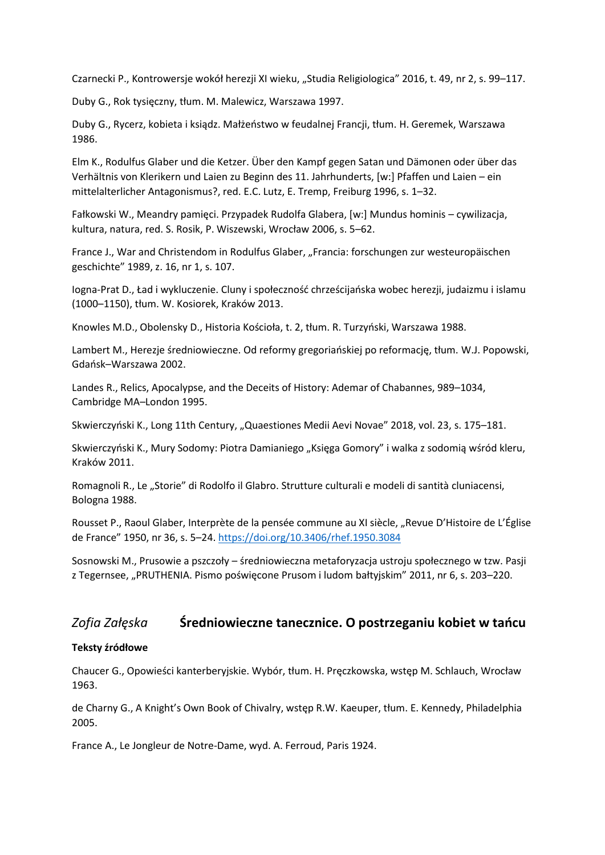Czarnecki P., Kontrowersje wokół herezji XI wieku, "Studia Religiologica" 2016, t. 49, nr 2, s. 99–117.

Duby G., Rok tysięczny, tłum. M. Malewicz, Warszawa 1997.

Duby G., Rycerz, kobieta i ksiądz. Małżeństwo w feudalnej Francji, tłum. H. Geremek, Warszawa 1986.

Elm K., Rodulfus Glaber und die Ketzer. Über den Kampf gegen Satan und Dämonen oder über das Verhältnis von Klerikern und Laien zu Beginn des 11. Jahrhunderts, [w:] Pfaffen und Laien – ein mittelalterlicher Antagonismus?, red. E.C. Lutz, E. Tremp, Freiburg 1996, s. 1–32.

Fałkowski W., Meandry pamięci. Przypadek Rudolfa Glabera, [w:] Mundus hominis – cywilizacja, kultura, natura, red. S. Rosik, P. Wiszewski, Wrocław 2006, s. 5–62.

France J., War and Christendom in Rodulfus Glaber, "Francia: forschungen zur westeuropäischen geschichte" 1989, z. 16, nr 1, s. 107.

Iogna-Prat D., Ład i wykluczenie. Cluny i społeczność chrześcijańska wobec herezji, judaizmu i islamu (1000–1150), tłum. W. Kosiorek, Kraków 2013.

Knowles M.D., Obolensky D., Historia Kościoła, t. 2, tłum. R. Turzyński, Warszawa 1988.

Lambert M., Herezje średniowieczne. Od reformy gregoriańskiej po reformację, tłum. W.J. Popowski, Gdańsk–Warszawa 2002.

Landes R., Relics, Apocalypse, and the Deceits of History: Ademar of Chabannes, 989–1034, Cambridge MA–London 1995.

Skwierczyński K., Long 11th Century, "Quaestiones Medii Aevi Novae" 2018, vol. 23, s. 175–181.

Skwierczyński K., Mury Sodomy: Piotra Damianiego "Księga Gomory" i walka z sodomią wśród kleru, Kraków 2011.

Romagnoli R., Le "Storie" di Rodolfo il Glabro. Strutture culturali e modeli di santità cluniacensi, Bologna 1988.

Rousset P., Raoul Glaber, Interprète de la pensée commune au XI siècle, "Revue D'Histoire de L'Église de France" 1950, nr 36, s. 5–24. <https://doi.org/10.3406/rhef.1950.3084>

Sosnowski M., Prusowie a pszczoły – średniowieczna metaforyzacja ustroju społecznego w tzw. Pasji z Tegernsee, "PRUTHENIA. Pismo poświęcone Prusom i ludom bałtyjskim" 2011, nr 6, s. 203–220.

### *Zofia Załęska* **Średniowieczne tanecznice. O postrzeganiu kobiet w tańcu**

#### **Teksty źródłowe**

Chaucer G., Opowieści kanterberyjskie. Wybór, tłum. H. Pręczkowska, wstęp M. Schlauch, Wrocław 1963.

de Charny G., A Knight's Own Book of Chivalry, wstęp R.W. Kaeuper, tłum. E. Kennedy, Philadelphia 2005.

France A., Le Jongleur de Notre-Dame, wyd. A. Ferroud, Paris 1924.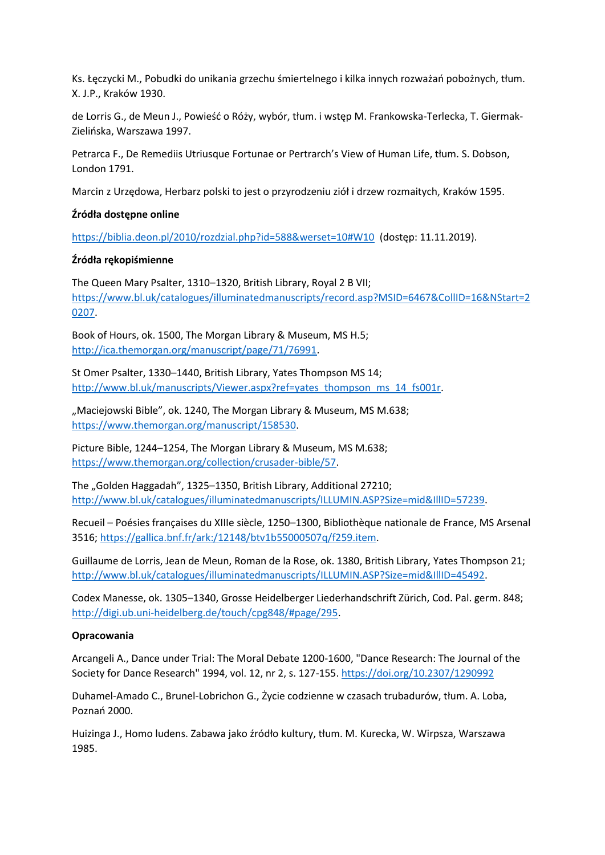Ks. Łęczycki M., Pobudki do unikania grzechu śmiertelnego i kilka innych rozważań pobożnych, tłum. X. J.P., Kraków 1930.

de Lorris G., de Meun J., Powieść o Róży, wybór, tłum. i wstęp M. Frankowska-Terlecka, T. Giermak-Zielińska, Warszawa 1997.

Petrarca F., De Remediis Utriusque Fortunae or Pertrarch's View of Human Life, tłum. S. Dobson, London 1791.

Marcin z Urzędowa, Herbarz polski to jest o przyrodzeniu ziół i drzew rozmaitych, Kraków 1595.

#### **Źródła dostępne online**

<https://biblia.deon.pl/2010/rozdzial.php?id=588&werset=10#W10> (dostęp: 11.11.2019).

#### **Źródła rękopiśmienne**

The Queen Mary Psalter, 1310–1320, British Library, Royal 2 B VII; [https://www.bl.uk/catalogues/illuminatedmanuscripts/record.asp?MSID=6467&CollID=16&NStart=2](https://www.bl.uk/catalogues/illuminatedmanuscripts/record.asp?MSID=6467&CollID=16&NStart=20207) [0207.](https://www.bl.uk/catalogues/illuminatedmanuscripts/record.asp?MSID=6467&CollID=16&NStart=20207)

Book of Hours, ok. 1500, The Morgan Library & Museum, MS H.5; [http://ica.themorgan.org/manuscript/page/71/76991.](http://ica.themorgan.org/manuscript/page/71/76991)

St Omer Psalter, 1330–1440, British Library, Yates Thompson MS 14; [http://www.bl.uk/manuscripts/Viewer.aspx?ref=yates\\_thompson\\_ms\\_14\\_fs001r.](http://www.bl.uk/manuscripts/Viewer.aspx?ref=yates_thompson_ms_14_fs001r)

"Maciejowski Bible", ok. 1240, The Morgan Library & Museum, MS M.638; [https://www.themorgan.org/manuscript/158530.](https://www.themorgan.org/manuscript/158530)

Picture Bible, 1244–1254, The Morgan Library & Museum, MS M.638; [https://www.themorgan.org/collection/crusader-bible/57.](https://www.themorgan.org/collection/crusader-bible/57)

The "Golden Haggadah", 1325–1350, British Library, Additional 27210; [http://www.bl.uk/catalogues/illuminatedmanuscripts/ILLUMIN.ASP?Size=mid&IllID=57239.](http://www.bl.uk/catalogues/illuminatedmanuscripts/ILLUMIN.ASP?Size=mid&IllID=57239)

Recueil – Poésies françaises du XIIIe siècle, 1250–1300, Bibliothèque nationale de France, MS Arsenal 3516[; https://gallica.bnf.fr/ark:/12148/btv1b55000507q/f259.item.](https://gallica.bnf.fr/ark:/12148/btv1b55000507q/f259.item)

Guillaume de Lorris, Jean de Meun, Roman de la Rose, ok. 1380, British Library, Yates Thompson 21; [http://www.bl.uk/catalogues/illuminatedmanuscripts/ILLUMIN.ASP?Size=mid&IllID=45492.](http://www.bl.uk/catalogues/illuminatedmanuscripts/ILLUMIN.ASP?Size=mid&IllID=45492)

Codex Manesse, ok. 1305–1340, Grosse Heidelberger Liederhandschrift Zürich, Cod. Pal. germ. 848; [http://digi.ub.uni-heidelberg.de/touch/cpg848/#page/295.](http://digi.ub.uni-heidelberg.de/touch/cpg848/#page/295)

#### **Opracowania**

Arcangeli A., Dance under Trial: The Moral Debate 1200-1600, "Dance Research: The Journal of the Society for Dance Research" 1994, vol. 12, nr 2, s. 127-155. <https://doi.org/10.2307/1290992>

Duhamel-Amado C., Brunel-Lobrichon G., Życie codzienne w czasach trubadurów, tłum. A. Loba, Poznań 2000.

Huizinga J., Homo ludens. Zabawa jako źródło kultury, tłum. M. Kurecka, W. Wirpsza, Warszawa 1985.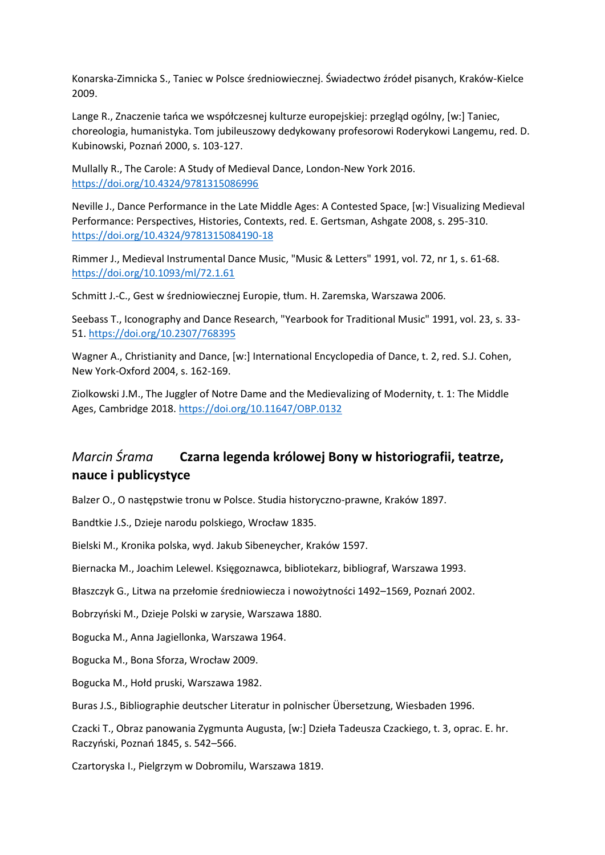Konarska-Zimnicka S., Taniec w Polsce średniowiecznej. Świadectwo źródeł pisanych, Kraków-Kielce 2009.

Lange R., Znaczenie tańca we współczesnej kulturze europejskiej: przegląd ogólny, [w:] Taniec, choreologia, humanistyka. Tom jubileuszowy dedykowany profesorowi Roderykowi Langemu, red. D. Kubinowski, Poznań 2000, s. 103-127.

Mullally R., The Carole: A Study of Medieval Dance, London-New York 2016. <https://doi.org/10.4324/9781315086996>

Neville J., Dance Performance in the Late Middle Ages: A Contested Space, [w:] Visualizing Medieval Performance: Perspectives, Histories, Contexts, red. E. Gertsman, Ashgate 2008, s. 295-310. <https://doi.org/10.4324/9781315084190-18>

Rimmer J., Medieval Instrumental Dance Music, "Music & Letters" 1991, vol. 72, nr 1, s. 61-68. <https://doi.org/10.1093/ml/72.1.61>

Schmitt J.-C., Gest w średniowiecznej Europie, tłum. H. Zaremska, Warszawa 2006.

Seebass T., Iconography and Dance Research, "Yearbook for Traditional Music" 1991, vol. 23, s. 33- 51. <https://doi.org/10.2307/768395>

Wagner A., Christianity and Dance, [w:] International Encyclopedia of Dance, t. 2, red. S.J. Cohen, New York-Oxford 2004, s. 162-169.

Ziolkowski J.M., The Juggler of Notre Dame and the Medievalizing of Modernity, t. 1: The Middle Ages, Cambridge 2018. <https://doi.org/10.11647/OBP.0132>

### *Marcin Śrama* **Czarna legenda królowej Bony w historiografii, teatrze, nauce i publicystyce**

Balzer O., O następstwie tronu w Polsce. Studia historyczno-prawne, Kraków 1897.

Bandtkie J.S., Dzieje narodu polskiego, Wrocław 1835.

Bielski M., Kronika polska, wyd. Jakub Sibeneycher, Kraków 1597.

Biernacka M., Joachim Lelewel. Księgoznawca, bibliotekarz, bibliograf, Warszawa 1993.

Błaszczyk G., Litwa na przełomie średniowiecza i nowożytności 1492–1569, Poznań 2002.

Bobrzyński M., Dzieje Polski w zarysie, Warszawa 1880.

Bogucka M., Anna Jagiellonka, Warszawa 1964.

Bogucka M., Bona Sforza, Wrocław 2009.

Bogucka M., Hołd pruski, Warszawa 1982.

Buras J.S., Bibliographie deutscher Literatur in polnischer Übersetzung, Wiesbaden 1996.

Czacki T., Obraz panowania Zygmunta Augusta, [w:] Dzieła Tadeusza Czackiego, t. 3, oprac. E. hr. Raczyński, Poznań 1845, s. 542–566.

Czartoryska I., Pielgrzym w Dobromilu, Warszawa 1819.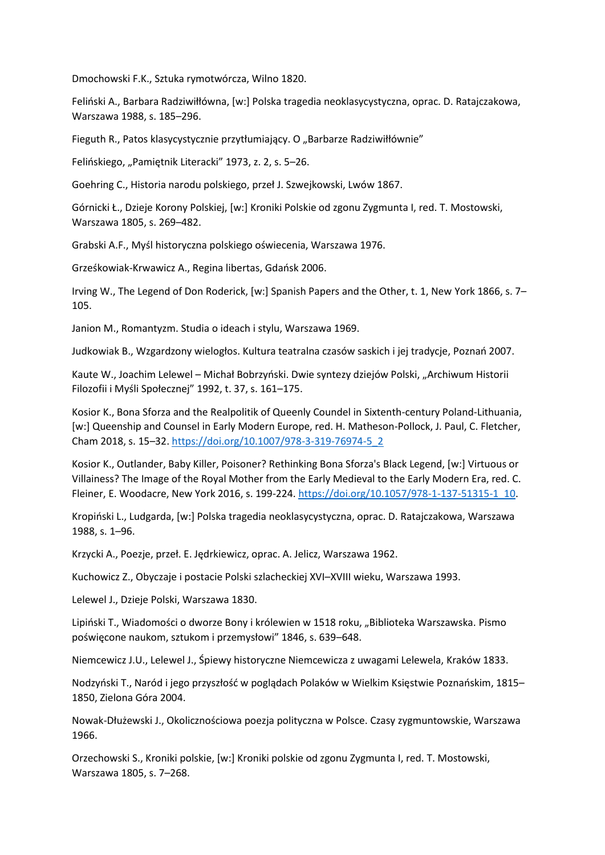Dmochowski F.K., Sztuka rymotwórcza, Wilno 1820.

Feliński A., Barbara Radziwiłłówna, [w:] Polska tragedia neoklasycystyczna, oprac. D. Ratajczakowa, Warszawa 1988, s. 185–296.

Fieguth R., Patos klasycystycznie przytłumiający. O "Barbarze Radziwiłłównie"

Felińskiego, "Pamiętnik Literacki" 1973, z. 2, s. 5–26.

Goehring C., Historia narodu polskiego, przeł J. Szwejkowski, Lwów 1867.

Górnicki Ł., Dzieje Korony Polskiej, [w:] Kroniki Polskie od zgonu Zygmunta I, red. T. Mostowski, Warszawa 1805, s. 269–482.

Grabski A.F., Myśl historyczna polskiego oświecenia, Warszawa 1976.

Grześkowiak-Krwawicz A., Regina libertas, Gdańsk 2006.

Irving W., The Legend of Don Roderick, [w:] Spanish Papers and the Other, t. 1, New York 1866, s. 7– 105.

Janion M., Romantyzm. Studia o ideach i stylu, Warszawa 1969.

Judkowiak B., Wzgardzony wielogłos. Kultura teatralna czasów saskich i jej tradycje, Poznań 2007.

Kaute W., Joachim Lelewel – Michał Bobrzyński. Dwie syntezy dziejów Polski, "Archiwum Historii Filozofii i Myśli Społecznej" 1992, t. 37, s. 161–175.

Kosior K., Bona Sforza and the Realpolitik of Queenly Coundel in Sixtenth-century Poland-Lithuania, [w:] Queenship and Counsel in Early Modern Europe, red. H. Matheson-Pollock, J. Paul, C. Fletcher, Cham 2018, s. 15–32. [https://doi.org/10.1007/978-3-319-76974-5\\_2](https://doi.org/10.1007/978-3-319-76974-5_2)

Kosior K., Outlander, Baby Killer, Poisoner? Rethinking Bona Sforza's Black Legend, [w:] Virtuous or Villainess? The Image of the Royal Mother from the Early Medieval to the Early Modern Era, red. C. Fleiner, E. Woodacre, New York 2016, s. 199-224. [https://doi.org/10.1057/978-1-137-51315-1\\_10.](https://doi.org/10.1057/978-1-137-51315-1_10)

Kropiński L., Ludgarda, [w:] Polska tragedia neoklasycystyczna, oprac. D. Ratajczakowa, Warszawa 1988, s. 1–96.

Krzycki A., Poezje, przeł. E. Jędrkiewicz, oprac. A. Jelicz, Warszawa 1962.

Kuchowicz Z., Obyczaje i postacie Polski szlacheckiej XVI–XVIII wieku, Warszawa 1993.

Lelewel J., Dzieje Polski, Warszawa 1830.

Lipiński T., Wiadomości o dworze Bony i królewien w 1518 roku, "Biblioteka Warszawska. Pismo poświęcone naukom, sztukom i przemysłowi" 1846, s. 639–648.

Niemcewicz J.U., Lelewel J., Śpiewy historyczne Niemcewicza z uwagami Lelewela, Kraków 1833.

Nodzyński T., Naród i jego przyszłość w poglądach Polaków w Wielkim Księstwie Poznańskim, 1815– 1850, Zielona Góra 2004.

Nowak-Dłużewski J., Okolicznościowa poezja polityczna w Polsce. Czasy zygmuntowskie, Warszawa 1966.

Orzechowski S., Kroniki polskie, [w:] Kroniki polskie od zgonu Zygmunta I, red. T. Mostowski, Warszawa 1805, s. 7–268.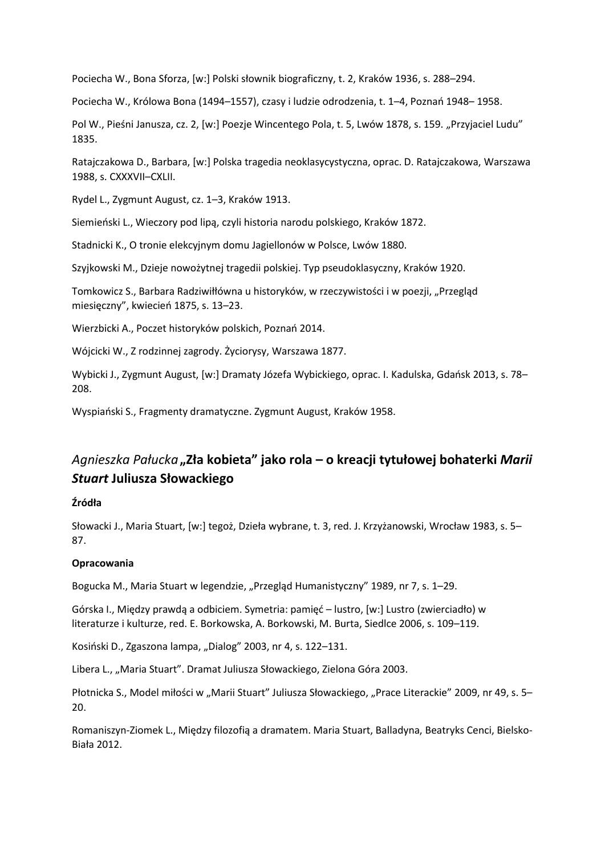Pociecha W., Bona Sforza, [w:] Polski słownik biograficzny, t. 2, Kraków 1936, s. 288–294.

Pociecha W., Królowa Bona (1494–1557), czasy i ludzie odrodzenia, t. 1–4, Poznań 1948– 1958.

Pol W., Pieśni Janusza, cz. 2, [w:] Poezje Wincentego Pola, t. 5, Lwów 1878, s. 159. "Przyjaciel Ludu" 1835.

Ratajczakowa D., Barbara, [w:] Polska tragedia neoklasycystyczna, oprac. D. Ratajczakowa, Warszawa 1988, s. CXXXVII–CXLII.

Rydel L., Zygmunt August, cz. 1–3, Kraków 1913.

Siemieński L., Wieczory pod lipą, czyli historia narodu polskiego, Kraków 1872.

Stadnicki K., O tronie elekcyjnym domu Jagiellonów w Polsce, Lwów 1880.

Szyjkowski M., Dzieje nowożytnej tragedii polskiej. Typ pseudoklasyczny, Kraków 1920.

Tomkowicz S., Barbara Radziwiłłówna u historyków, w rzeczywistości i w poezji, "Przegląd miesięczny", kwiecień 1875, s. 13–23.

Wierzbicki A., Poczet historyków polskich, Poznań 2014.

Wójcicki W., Z rodzinnej zagrody. Życiorysy, Warszawa 1877.

Wybicki J., Zygmunt August, [w:] Dramaty Józefa Wybickiego, oprac. I. Kadulska, Gdańsk 2013, s. 78– 208.

Wyspiański S., Fragmenty dramatyczne. Zygmunt August, Kraków 1958.

### *Agnieszka Pałucka***"Zła kobieta" jako rola – o kreacji tytułowej bohaterki** *Marii Stuart* **Juliusza Słowackiego**

#### **Źródła**

Słowacki J., Maria Stuart, [w:] tegoż, Dzieła wybrane, t. 3, red. J. Krzyżanowski, Wrocław 1983, s. 5– 87.

#### **Opracowania**

Bogucka M., Maria Stuart w legendzie, "Przegląd Humanistyczny" 1989, nr 7, s. 1–29.

Górska I., Między prawdą a odbiciem. Symetria: pamięć – lustro, [w:] Lustro (zwierciadło) w literaturze i kulturze, red. E. Borkowska, A. Borkowski, M. Burta, Siedlce 2006, s. 109–119.

Kosiński D., Zgaszona lampa, "Dialog" 2003, nr 4, s. 122–131.

Libera L., "Maria Stuart". Dramat Juliusza Słowackiego, Zielona Góra 2003.

Płotnicka S., Model miłości w "Marii Stuart" Juliusza Słowackiego, "Prace Literackie" 2009, nr 49, s. 5– 20.

Romaniszyn-Ziomek L., Między filozofią a dramatem. Maria Stuart, Balladyna, Beatryks Cenci, Bielsko-Biała 2012.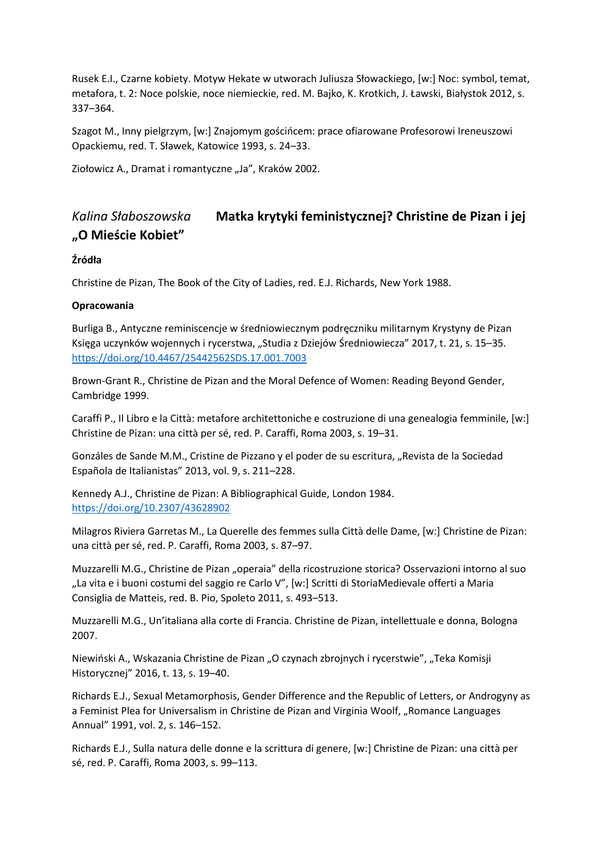Rusek E.I., Czarne kobiety. Motyw Hekate w utworach Juliusza Słowackiego, [w:] Noc: symbol, temat, metafora, t. 2: Noce polskie, noce niemieckie, red. M. Bajko, K. Krotkich, J. Ławski, Białystok 2012, s. 337–364.

Szagot M., Inny pielgrzym, [w:] Znajomym gościńcem: prace ofiarowane Profesorowi Ireneuszowi Opackiemu, red. T. Sławek, Katowice 1993, s. 24–33.

Ziołowicz A., Dramat i romantyczne "Ja", Kraków 2002.

# *Kalina Słaboszowska* **Matka krytyki feministycznej? Christine de Pizan i jej "O Mieście Kobiet"**

### **Źródła**

Christine de Pizan, The Book of the City of Ladies, red. E.J. Richards, New York 1988.

### **Opracowania**

Burliga B., Antyczne reminiscencje w średniowiecznym podręczniku militarnym Krystyny de Pizan Księga uczynków wojennych i rycerstwa, "Studia z Dziejów Średniowiecza" 2017, t. 21, s. 15–35. <https://doi.org/10.4467/25442562SDS.17.001.7003>

Brown-Grant R., Christine de Pizan and the Moral Defence of Women: Reading Beyond Gender, Cambridge 1999.

Caraffi P., Il Libro e la Città: metafore architettoniche e costruzione di una genealogia femminile, [w:] Christine de Pizan: una città per sé, red. P. Caraffi, Roma 2003, s. 19–31.

Gonzáles de Sande M.M., Cristine de Pizzano y el poder de su escritura, "Revista de la Sociedad Española de Italianistas" 2013, vol. 9, s. 211–228.

Kennedy A.J., Christine de Pizan: A Bibliographical Guide, London 1984. <https://doi.org/10.2307/43628902>

Milagros Riviera Garretas M., La Querelle des femmes sulla Città delle Dame, [w:] Christine de Pizan: una città per sé, red. P. Caraffi, Roma 2003, s. 87–97.

Muzzarelli M.G., Christine de Pizan "operaia" della ricostruzione storica? Osservazioni intorno al suo "La vita e i buoni costumi del saggio re Carlo V", [w:] Scritti di StoriaMedievale offerti a Maria Consiglia de Matteis, red. B. Pio, Spoleto 2011, s. 493–513.

Muzzarelli M.G., Un'italiana alla corte di Francia. Christine de Pizan, intellettuale e donna, Bologna 2007.

Niewiński A., Wskazania Christine de Pizan "O czynach zbrojnych i rycerstwie", "Teka Komisji Historycznej" 2016, t. 13, s. 19–40.

Richards E.J., Sexual Metamorphosis, Gender Difference and the Republic of Letters, or Androgyny as a Feminist Plea for Universalism in Christine de Pizan and Virginia Woolf, "Romance Languages Annual" 1991, vol. 2, s. 146–152.

Richards E.J., Sulla natura delle donne e la scrittura di genere, [w:] Christine de Pizan: una città per sé, red. P. Caraffi, Roma 2003, s. 99–113.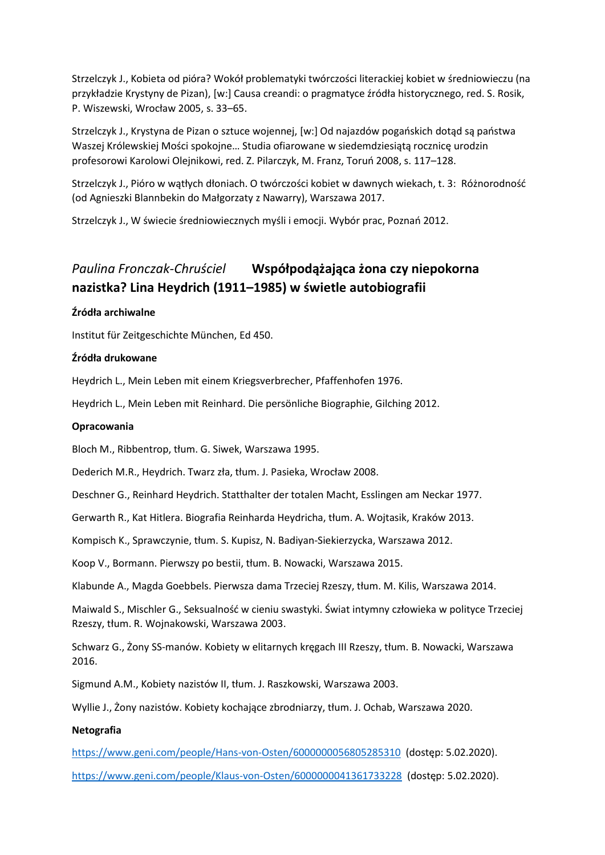Strzelczyk J., Kobieta od pióra? Wokół problematyki twórczości literackiej kobiet w średniowieczu (na przykładzie Krystyny de Pizan), [w:] Causa creandi: o pragmatyce źródła historycznego, red. S. Rosik, P. Wiszewski, Wrocław 2005, s. 33–65.

Strzelczyk J., Krystyna de Pizan o sztuce wojennej, [w:] Od najazdów pogańskich dotąd są państwa Waszej Królewskiej Mości spokojne… Studia ofiarowane w siedemdziesiątą rocznicę urodzin profesorowi Karolowi Olejnikowi, red. Z. Pilarczyk, M. Franz, Toruń 2008, s. 117–128.

Strzelczyk J., Pióro w wątłych dłoniach. O twórczości kobiet w dawnych wiekach, t. 3: Różnorodność (od Agnieszki Blannbekin do Małgorzaty z Nawarry), Warszawa 2017.

Strzelczyk J., W świecie średniowiecznych myśli i emocji. Wybór prac, Poznań 2012.

# *Paulina Fronczak-Chruściel* **Współpodążająca żona czy niepokorna nazistka? Lina Heydrich (1911–1985) w świetle autobiografii**

#### **Źródła archiwalne**

Institut für Zeitgeschichte München, Ed 450.

#### **Źródła drukowane**

Heydrich L., Mein Leben mit einem Kriegsverbrecher, Pfaffenhofen 1976.

Heydrich L., Mein Leben mit Reinhard. Die persönliche Biographie, Gilching 2012.

#### **Opracowania**

Bloch M., Ribbentrop, tłum. G. Siwek, Warszawa 1995.

Dederich M.R., Heydrich. Twarz zła, tłum. J. Pasieka, Wrocław 2008.

Deschner G., Reinhard Heydrich. Statthalter der totalen Macht, Esslingen am Neckar 1977.

Gerwarth R., Kat Hitlera. Biografia Reinharda Heydricha, tłum. A. Wojtasik, Kraków 2013.

Kompisch K., Sprawczynie, tłum. S. Kupisz, N. Badiyan-Siekierzycka, Warszawa 2012.

Koop V., Bormann. Pierwszy po bestii, tłum. B. Nowacki, Warszawa 2015.

Klabunde A., Magda Goebbels. Pierwsza dama Trzeciej Rzeszy, tłum. M. Kilis, Warszawa 2014.

Maiwald S., Mischler G., Seksualność w cieniu swastyki. Świat intymny człowieka w polityce Trzeciej Rzeszy, tłum. R. Wojnakowski, Warszawa 2003.

Schwarz G., Żony SS-manów. Kobiety w elitarnych kręgach III Rzeszy, tłum. B. Nowacki, Warszawa 2016.

Sigmund A.M., Kobiety nazistów II, tłum. J. Raszkowski, Warszawa 2003.

Wyllie J., Żony nazistów. Kobiety kochające zbrodniarzy, tłum. J. Ochab, Warszawa 2020.

#### **Netografia**

<https://www.geni.com/people/Hans-von-Osten/6000000056805285310> (dostęp: 5.02.2020).

<https://www.geni.com/people/Klaus-von-Osten/6000000041361733228> (dostęp: 5.02.2020).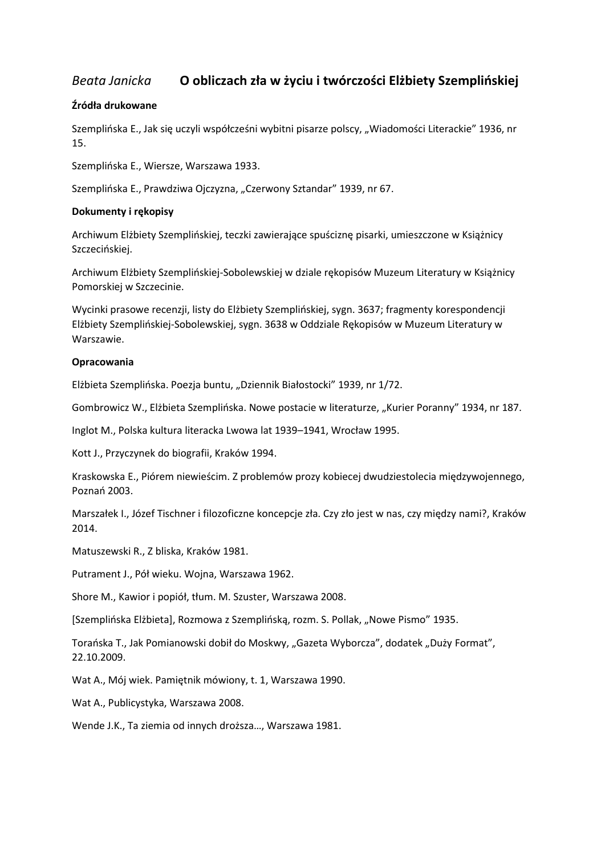### *Beata Janicka* **O obliczach zła w życiu i twórczości Elżbiety Szemplińskiej**

#### **Źródła drukowane**

Szemplińska E., Jak się uczyli współcześni wybitni pisarze polscy, "Wiadomości Literackie" 1936, nr 15.

Szemplińska E., Wiersze, Warszawa 1933.

Szemplińska E., Prawdziwa Ojczyzna, "Czerwony Sztandar" 1939, nr 67.

#### **Dokumenty i rękopisy**

Archiwum Elżbiety Szemplińskiej, teczki zawierające spuściznę pisarki, umieszczone w Książnicy Szczecińskiej.

Archiwum Elżbiety Szemplińskiej-Sobolewskiej w dziale rękopisów Muzeum Literatury w Książnicy Pomorskiej w Szczecinie.

Wycinki prasowe recenzji, listy do Elżbiety Szemplińskiej, sygn. 3637; fragmenty korespondencji Elżbiety Szemplińskiej-Sobolewskiej, sygn. 3638 w Oddziale Rękopisów w Muzeum Literatury w Warszawie.

#### **Opracowania**

Elżbieta Szemplińska. Poezja buntu, "Dziennik Białostocki" 1939, nr 1/72.

Gombrowicz W., Elżbieta Szemplińska. Nowe postacie w literaturze, "Kurier Poranny" 1934, nr 187.

Inglot M., Polska kultura literacka Lwowa lat 1939–1941, Wrocław 1995.

Kott J., Przyczynek do biografii, Kraków 1994.

Kraskowska E., Piórem niewieścim. Z problemów prozy kobiecej dwudziestolecia międzywojennego, Poznań 2003.

Marszałek I., Józef Tischner i filozoficzne koncepcje zła. Czy zło jest w nas, czy między nami?, Kraków 2014.

Matuszewski R., Z bliska, Kraków 1981.

Putrament J., Pół wieku. Wojna, Warszawa 1962.

Shore M., Kawior i popiół, tłum. M. Szuster, Warszawa 2008.

[Szemplińska Elżbieta], Rozmowa z Szemplińską, rozm. S. Pollak, "Nowe Pismo" 1935.

Torańska T., Jak Pomianowski dobił do Moskwy, "Gazeta Wyborcza", dodatek "Duży Format", 22.10.2009.

Wat A., Mój wiek. Pamiętnik mówiony, t. 1, Warszawa 1990.

Wat A., Publicystyka, Warszawa 2008.

Wende J.K., Ta ziemia od innych droższa…, Warszawa 1981.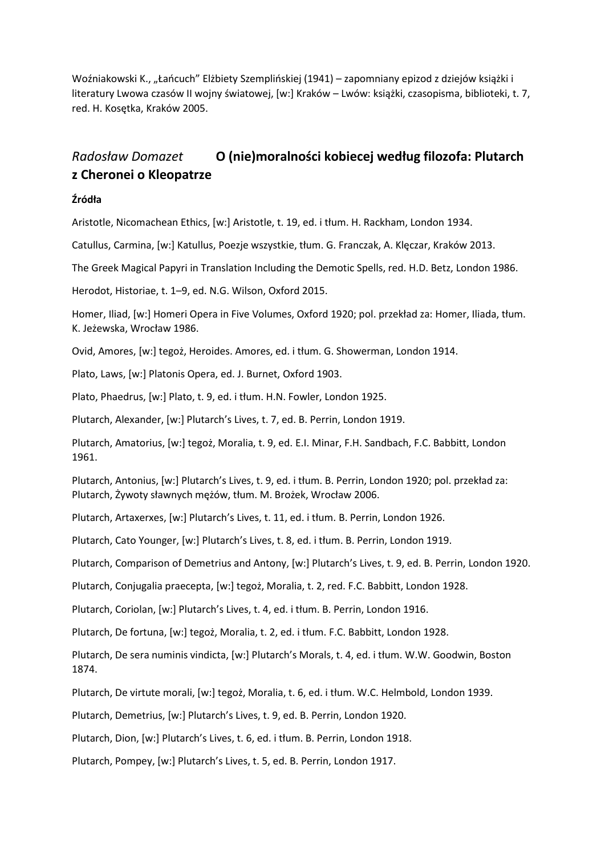Woźniakowski K., "Łańcuch" Elżbiety Szemplińskiej (1941) – zapomniany epizod z dziejów książki i literatury Lwowa czasów II wojny światowej, [w:] Kraków – Lwów: książki, czasopisma, biblioteki, t. 7, red. H. Kosętka, Kraków 2005.

# *Radosław Domazet* **O (nie)moralności kobiecej według filozofa: Plutarch z Cheronei o Kleopatrze**

#### **Źródła**

Aristotle, Nicomachean Ethics, [w:] Aristotle, t. 19, ed. i tłum. H. Rackham, London 1934.

Catullus, Carmina, [w:] Katullus, Poezje wszystkie, tłum. G. Franczak, A. Klęczar, Kraków 2013.

The Greek Magical Papyri in Translation Including the Demotic Spells, red. H.D. Betz, London 1986.

Herodot, Historiae, t. 1–9, ed. N.G. Wilson, Oxford 2015.

Homer, Iliad, [w:] Homeri Opera in Five Volumes, Oxford 1920; pol. przekład za: Homer, Iliada, tłum. K. Jeżewska, Wrocław 1986.

Ovid, Amores, [w:] tegoż, Heroides. Amores, ed. i tłum. G. Showerman, London 1914.

Plato, Laws, [w:] Platonis Opera, ed. J. Burnet, Oxford 1903.

Plato, Phaedrus, [w:] Plato, t. 9, ed. i tłum. H.N. Fowler, London 1925.

Plutarch, Alexander, [w:] Plutarch's Lives, t. 7, ed. B. Perrin, London 1919.

Plutarch, Amatorius, [w:] tegoż, Moralia, t. 9, ed. E.I. Minar, F.H. Sandbach, F.C. Babbitt, London 1961.

Plutarch, Antonius, [w:] Plutarch's Lives, t. 9, ed. i tłum. B. Perrin, London 1920; pol. przekład za: Plutarch, Żywoty sławnych mężów, tłum. M. Brożek, Wrocław 2006.

Plutarch, Artaxerxes, [w:] Plutarch's Lives, t. 11, ed. i tłum. B. Perrin, London 1926.

Plutarch, Cato Younger, [w:] Plutarch's Lives, t. 8, ed. i tłum. B. Perrin, London 1919.

Plutarch, Comparison of Demetrius and Antony, [w:] Plutarch's Lives, t. 9, ed. B. Perrin, London 1920.

Plutarch, Conjugalia praecepta, [w:] tegoż, Moralia, t. 2, red. F.C. Babbitt, London 1928.

Plutarch, Coriolan, [w:] Plutarch's Lives, t. 4, ed. i tłum. B. Perrin, London 1916.

Plutarch, De fortuna, [w:] tegoż, Moralia, t. 2, ed. i tłum. F.C. Babbitt, London 1928.

Plutarch, De sera numinis vindicta, [w:] Plutarch's Morals, t. 4, ed. i tłum. W.W. Goodwin, Boston 1874.

Plutarch, De virtute morali, [w:] tegoż, Moralia, t. 6, ed. i tłum. W.C. Helmbold, London 1939.

Plutarch, Demetrius, [w:] Plutarch's Lives, t. 9, ed. B. Perrin, London 1920.

Plutarch, Dion, [w:] Plutarch's Lives, t. 6, ed. i tłum. B. Perrin, London 1918.

Plutarch, Pompey, [w:] Plutarch's Lives, t. 5, ed. B. Perrin, London 1917.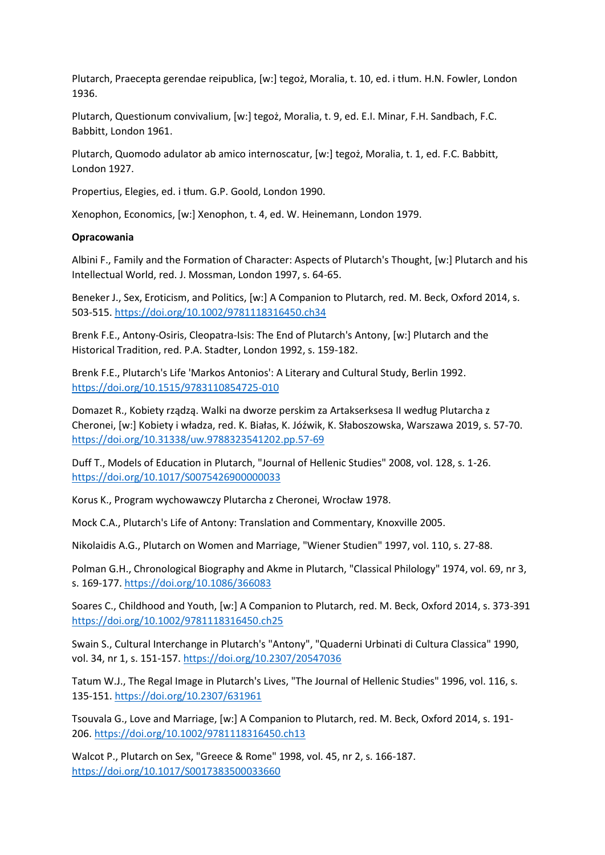Plutarch, Praecepta gerendae reipublica, [w:] tegoż, Moralia, t. 10, ed. i tłum. H.N. Fowler, London 1936.

Plutarch, Questionum convivalium, [w:] tegoż, Moralia, t. 9, ed. E.I. Minar, F.H. Sandbach, F.C. Babbitt, London 1961.

Plutarch, Quomodo adulator ab amico internoscatur, [w:] tegoż, Moralia, t. 1, ed. F.C. Babbitt, London 1927.

Propertius, Elegies, ed. i tłum. G.P. Goold, London 1990.

Xenophon, Economics, [w:] Xenophon, t. 4, ed. W. Heinemann, London 1979.

#### **Opracowania**

Albini F., Family and the Formation of Character: Aspects of Plutarch's Thought, [w:] Plutarch and his Intellectual World, red. J. Mossman, London 1997, s. 64-65.

Beneker J., Sex, Eroticism, and Politics, [w:] A Companion to Plutarch, red. M. Beck, Oxford 2014, s. 503-515. <https://doi.org/10.1002/9781118316450.ch34>

Brenk F.E., Antony-Osiris, Cleopatra-Isis: The End of Plutarch's Antony, [w:] Plutarch and the Historical Tradition, red. P.A. Stadter, London 1992, s. 159-182.

Brenk F.E., Plutarch's Life 'Markos Antonios': A Literary and Cultural Study, Berlin 1992. <https://doi.org/10.1515/9783110854725-010>

Domazet R., Kobiety rządzą. Walki na dworze perskim za Artakserksesa II według Plutarcha z Cheronei, [w:] Kobiety i władza, red. K. Białas, K. Jóźwik, K. Słaboszowska, Warszawa 2019, s. 57-70. <https://doi.org/10.31338/uw.9788323541202.pp.57-69>

Duff T., Models of Education in Plutarch, "Journal of Hellenic Studies" 2008, vol. 128, s. 1-26. <https://doi.org/10.1017/S0075426900000033>

Korus K., Program wychowawczy Plutarcha z Cheronei, Wrocław 1978.

Mock C.A., Plutarch's Life of Antony: Translation and Commentary, Knoxville 2005.

Nikolaidis A.G., Plutarch on Women and Marriage, "Wiener Studien" 1997, vol. 110, s. 27-88.

Polman G.H., Chronological Biography and Akme in Plutarch, "Classical Philology" 1974, vol. 69, nr 3, s. 169-177. <https://doi.org/10.1086/366083>

Soares C., Childhood and Youth, [w:] A Companion to Plutarch, red. M. Beck, Oxford 2014, s. 373-391 <https://doi.org/10.1002/9781118316450.ch25>

Swain S., Cultural Interchange in Plutarch's "Antony", "Quaderni Urbinati di Cultura Classica" 1990, vol. 34, nr 1, s. 151-157. <https://doi.org/10.2307/20547036>

Tatum W.J., The Regal Image in Plutarch's Lives, "The Journal of Hellenic Studies" 1996, vol. 116, s. 135-151. <https://doi.org/10.2307/631961>

Tsouvala G., Love and Marriage, [w:] A Companion to Plutarch, red. M. Beck, Oxford 2014, s. 191- 206. <https://doi.org/10.1002/9781118316450.ch13>

Walcot P., Plutarch on Sex, "Greece & Rome" 1998, vol. 45, nr 2, s. 166-187. <https://doi.org/10.1017/S0017383500033660>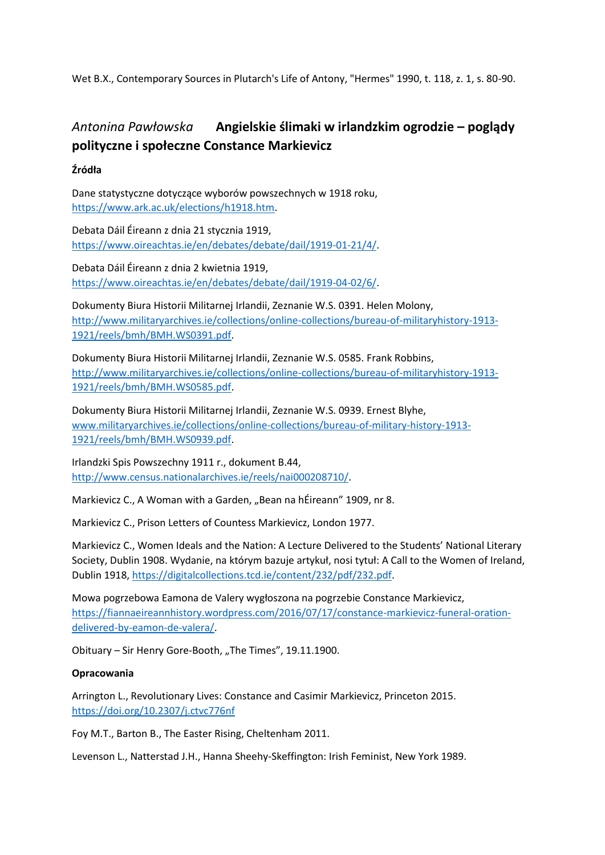Wet B.X., Contemporary Sources in Plutarch's Life of Antony, "Hermes" 1990, t. 118, z. 1, s. 80-90.

# *Antonina Pawłowska* **Angielskie ślimaki w irlandzkim ogrodzie – poglądy polityczne i społeczne Constance Markievicz**

#### **Źródła**

Dane statystyczne dotyczące wyborów powszechnych w 1918 roku, [https://www.ark.ac.uk/elections/h1918.htm.](https://www.ark.ac.uk/elections/h1918.htm)

Debata Dáil Éireann z dnia 21 stycznia 1919, [https://www.oireachtas.ie/en/debates/debate/dail/1919-01-21/4/.](https://www.oireachtas.ie/en/debates/debate/dail/1919-01-21/4/)

Debata Dáil Éireann z dnia 2 kwietnia 1919, [https://www.oireachtas.ie/en/debates/debate/dail/1919-04-02/6/.](https://www.oireachtas.ie/en/debates/debate/dail/1919-04-02/6/)

Dokumenty Biura Historii Militarnej Irlandii, Zeznanie W.S. 0391. Helen Molony, [http://www.militaryarchives.ie/collections/online-collections/bureau-of-militaryhistory-1913-](http://www.militaryarchives.ie/collections/online-collections/bureau-of-militaryhistory-1913-1921/reels/bmh/BMH.WS0391.pdf) [1921/reels/bmh/BMH.WS0391.pdf.](http://www.militaryarchives.ie/collections/online-collections/bureau-of-militaryhistory-1913-1921/reels/bmh/BMH.WS0391.pdf)

Dokumenty Biura Historii Militarnej Irlandii, Zeznanie W.S. 0585. Frank Robbins, [http://www.militaryarchives.ie/collections/online-collections/bureau-of-militaryhistory-1913-](http://www.militaryarchives.ie/collections/online-collections/bureau-of-militaryhistory-1913-1921/reels/bmh/BMH.WS0585.pdf) [1921/reels/bmh/BMH.WS0585.pdf.](http://www.militaryarchives.ie/collections/online-collections/bureau-of-militaryhistory-1913-1921/reels/bmh/BMH.WS0585.pdf)

Dokumenty Biura Historii Militarnej Irlandii, Zeznanie W.S. 0939. Ernest Blyhe, [www.militaryarchives.ie/collections/online-collections/bureau-of-military-history-1913-](http://www.militaryarchives.ie/collections/online-collections/bureau-of-military-history-1913-1921/reels/bmh/BMH.WS0939.pdf) [1921/reels/bmh/BMH.WS0939.pdf.](http://www.militaryarchives.ie/collections/online-collections/bureau-of-military-history-1913-1921/reels/bmh/BMH.WS0939.pdf)

Irlandzki Spis Powszechny 1911 r., dokument B.44, [http://www.census.nationalarchives.ie/reels/nai000208710/.](http://www.census.nationalarchives.ie/reels/nai000208710/)

Markievicz C., A Woman with a Garden, "Bean na hÉireann" 1909, nr 8.

Markievicz C., Prison Letters of Countess Markievicz, London 1977.

Markievicz C., Women Ideals and the Nation: A Lecture Delivered to the Students' National Literary Society, Dublin 1908. Wydanie, na którym bazuje artykuł, nosi tytuł: A Call to the Women of Ireland, Dublin 1918, [https://digitalcollections.tcd.ie/content/232/pdf/232.pdf.](https://digitalcollections.tcd.ie/content/232/pdf/232.pdf)

Mowa pogrzebowa Eamona de Valery wygłoszona na pogrzebie Constance Markievicz, [https://fiannaeireannhistory.wordpress.com/2016/07/17/constance-markievicz-funeral-oration](https://fiannaeireannhistory.wordpress.com/2016/07/17/constance-markievicz-funeral-oration-delivered-by-eamon-de-valera/)[delivered-by-eamon-de-valera/.](https://fiannaeireannhistory.wordpress.com/2016/07/17/constance-markievicz-funeral-oration-delivered-by-eamon-de-valera/)

Obituary - Sir Henry Gore-Booth, "The Times", 19.11.1900.

#### **Opracowania**

Arrington L., Revolutionary Lives: Constance and Casimir Markievicz, Princeton 2015. <https://doi.org/10.2307/j.ctvc776nf>

Foy M.T., Barton B., The Easter Rising, Cheltenham 2011.

Levenson L., Natterstad J.H., Hanna Sheehy-Skeffington: Irish Feminist, New York 1989.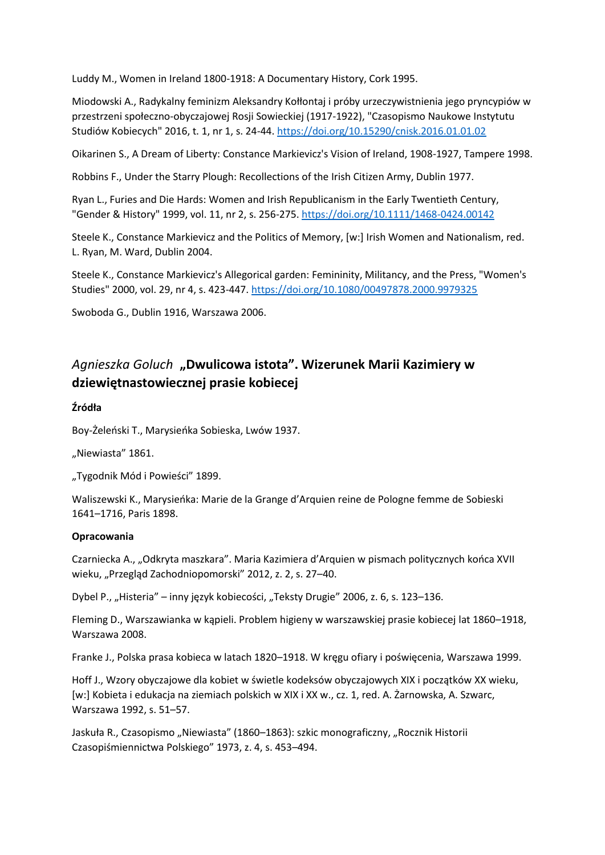Luddy M., Women in Ireland 1800-1918: A Documentary History, Cork 1995.

Miodowski A., Radykalny feminizm Aleksandry Kołłontaj i próby urzeczywistnienia jego pryncypiów w przestrzeni społeczno-obyczajowej Rosji Sowieckiej (1917-1922), "Czasopismo Naukowe Instytutu Studiów Kobiecych" 2016, t. 1, nr 1, s. 24-44. <https://doi.org/10.15290/cnisk.2016.01.01.02>

Oikarinen S., A Dream of Liberty: Constance Markievicz's Vision of Ireland, 1908-1927, Tampere 1998.

Robbins F., Under the Starry Plough: Recollections of the Irish Citizen Army, Dublin 1977.

Ryan L., Furies and Die Hards: Women and Irish Republicanism in the Early Twentieth Century, "Gender & History" 1999, vol. 11, nr 2, s. 256-275. <https://doi.org/10.1111/1468-0424.00142>

Steele K., Constance Markievicz and the Politics of Memory, [w:] Irish Women and Nationalism, red. L. Ryan, M. Ward, Dublin 2004.

Steele K., Constance Markievicz's Allegorical garden: Femininity, Militancy, and the Press, "Women's Studies" 2000, vol. 29, nr 4, s. 423-447. <https://doi.org/10.1080/00497878.2000.9979325>

Swoboda G., Dublin 1916, Warszawa 2006.

# *Agnieszka Goluch* **"Dwulicowa istota". Wizerunek Marii Kazimiery w dziewiętnastowiecznej prasie kobiecej**

#### **Źródła**

Boy-Żeleński T., Marysieńka Sobieska, Lwów 1937.

"Niewiasta" 1861.

"Tygodnik Mód i Powieści" 1899.

Waliszewski K., Marysieńka: Marie de la Grange d'Arquien reine de Pologne femme de Sobieski 1641–1716, Paris 1898.

#### **Opracowania**

Czarniecka A., "Odkryta maszkara". Maria Kazimiera d'Arquien w pismach politycznych końca XVII wieku, "Przegląd Zachodniopomorski" 2012, z. 2, s. 27-40.

Dybel P., "Histeria" – inny język kobiecości, "Teksty Drugie" 2006, z. 6, s. 123–136.

Fleming D., Warszawianka w kąpieli. Problem higieny w warszawskiej prasie kobiecej lat 1860–1918, Warszawa 2008.

Franke J., Polska prasa kobieca w latach 1820–1918. W kręgu ofiary i poświęcenia, Warszawa 1999.

Hoff J., Wzory obyczajowe dla kobiet w świetle kodeksów obyczajowych XIX i początków XX wieku, [w:] Kobieta i edukacja na ziemiach polskich w XIX i XX w., cz. 1, red. A. Żarnowska, A. Szwarc, Warszawa 1992, s. 51–57.

Jaskuła R., Czasopismo "Niewiasta" (1860–1863): szkic monograficzny, "Rocznik Historii Czasopiśmiennictwa Polskiego" 1973, z. 4, s. 453–494.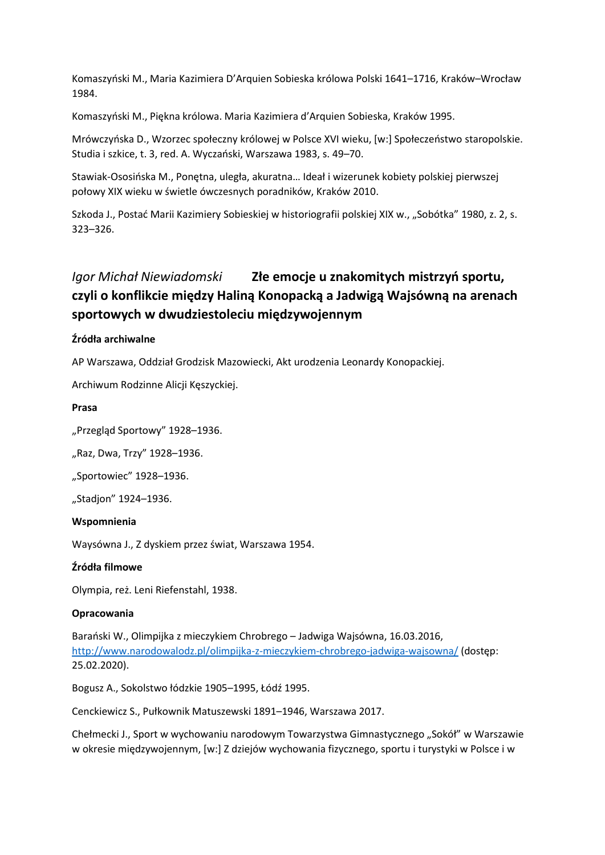Komaszyński M., Maria Kazimiera D'Arquien Sobieska królowa Polski 1641–1716, Kraków–Wrocław 1984.

Komaszyński M., Piękna królowa. Maria Kazimiera d'Arquien Sobieska, Kraków 1995.

Mrówczyńska D., Wzorzec społeczny królowej w Polsce XVI wieku, [w:] Społeczeństwo staropolskie. Studia i szkice, t. 3, red. A. Wyczański, Warszawa 1983, s. 49–70.

Stawiak-Ososińska M., Ponętna, uległa, akuratna… Ideał i wizerunek kobiety polskiej pierwszej połowy XIX wieku w świetle ówczesnych poradników, Kraków 2010.

Szkoda J., Postać Marii Kazimiery Sobieskiej w historiografii polskiej XIX w., "Sobótka" 1980, z. 2, s. 323–326.

# *Igor Michał Niewiadomski* **Złe emocje u znakomitych mistrzyń sportu, czyli o konflikcie między Haliną Konopacką a Jadwigą Wajsówną na arenach sportowych w dwudziestoleciu międzywojennym**

#### **Źródła archiwalne**

AP Warszawa, Oddział Grodzisk Mazowiecki, Akt urodzenia Leonardy Konopackiej.

Archiwum Rodzinne Alicji Kęszyckiej.

#### **Prasa**

"Przegląd Sportowy" 1928-1936.

"Raz, Dwa, Trzy" 1928-1936.

"Sportowiec" 1928-1936.

"Stadjon" 1924-1936.

#### **Wspomnienia**

Waysówna J., Z dyskiem przez świat, Warszawa 1954.

#### **Źródła filmowe**

Olympia, reż. Leni Riefenstahl, 1938.

#### **Opracowania**

Barański W., Olimpijka z mieczykiem Chrobrego – Jadwiga Wajsówna, 16.03.2016, <http://www.narodowalodz.pl/olimpijka-z-mieczykiem-chrobrego-jadwiga-wajsowna/> (dostęp: 25.02.2020).

Bogusz A., Sokolstwo łódzkie 1905–1995, Łódź 1995.

Cenckiewicz S., Pułkownik Matuszewski 1891–1946, Warszawa 2017.

Chełmecki J., Sport w wychowaniu narodowym Towarzystwa Gimnastycznego "Sokół" w Warszawie w okresie międzywojennym, [w:] Z dziejów wychowania fizycznego, sportu i turystyki w Polsce i w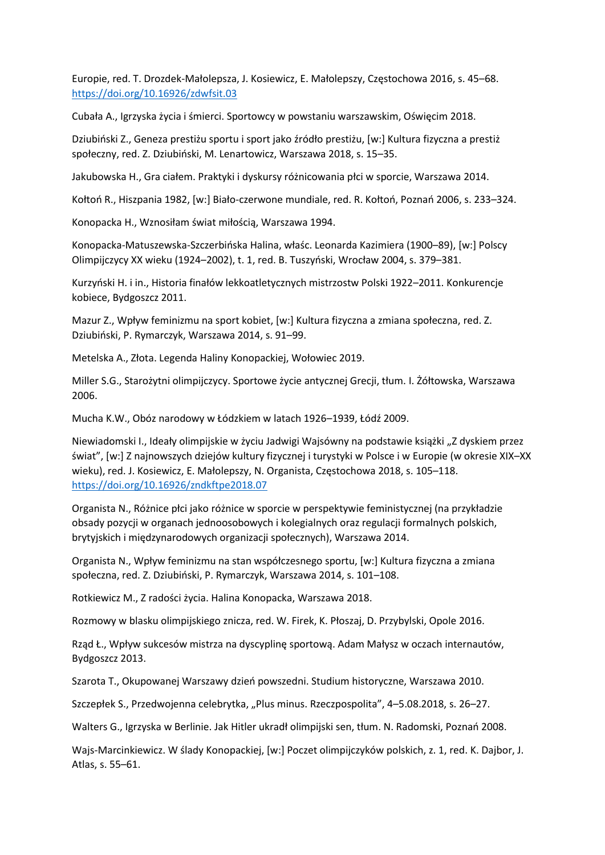Europie, red. T. Drozdek-Małolepsza, J. Kosiewicz, E. Małolepszy, Częstochowa 2016, s. 45–68. <https://doi.org/10.16926/zdwfsit.03>

Cubała A., Igrzyska życia i śmierci. Sportowcy w powstaniu warszawskim, Oświęcim 2018.

Dziubiński Z., Geneza prestiżu sportu i sport jako źródło prestiżu, [w:] Kultura fizyczna a prestiż społeczny, red. Z. Dziubiński, M. Lenartowicz, Warszawa 2018, s. 15–35.

Jakubowska H., Gra ciałem. Praktyki i dyskursy różnicowania płci w sporcie, Warszawa 2014.

Kołtoń R., Hiszpania 1982, [w:] Biało-czerwone mundiale, red. R. Kołtoń, Poznań 2006, s. 233–324.

Konopacka H., Wznosiłam świat miłością, Warszawa 1994.

Konopacka-Matuszewska-Szczerbińska Halina, właśc. Leonarda Kazimiera (1900–89), [w:] Polscy Olimpijczycy XX wieku (1924–2002), t. 1, red. B. Tuszyński, Wrocław 2004, s. 379–381.

Kurzyński H. i in., Historia finałów lekkoatletycznych mistrzostw Polski 1922–2011. Konkurencje kobiece, Bydgoszcz 2011.

Mazur Z., Wpływ feminizmu na sport kobiet, [w:] Kultura fizyczna a zmiana społeczna, red. Z. Dziubiński, P. Rymarczyk, Warszawa 2014, s. 91–99.

Metelska A., Złota. Legenda Haliny Konopackiej, Wołowiec 2019.

Miller S.G., Starożytni olimpijczycy. Sportowe życie antycznej Grecji, tłum. I. Żółtowska, Warszawa 2006.

Mucha K.W., Obóz narodowy w Łódzkiem w latach 1926–1939, Łódź 2009.

Niewiadomski I., Ideały olimpijskie w życiu Jadwigi Wajsówny na podstawie książki "Z dyskiem przez świat", [w:] Z najnowszych dziejów kultury fizycznej i turystyki w Polsce i w Europie (w okresie XIX–XX wieku), red. J. Kosiewicz, E. Małolepszy, N. Organista, Częstochowa 2018, s. 105–118. <https://doi.org/10.16926/zndkftpe2018.07>

Organista N., Różnice płci jako różnice w sporcie w perspektywie feministycznej (na przykładzie obsady pozycji w organach jednoosobowych i kolegialnych oraz regulacji formalnych polskich, brytyjskich i międzynarodowych organizacji społecznych), Warszawa 2014.

Organista N., Wpływ feminizmu na stan współczesnego sportu, [w:] Kultura fizyczna a zmiana społeczna, red. Z. Dziubiński, P. Rymarczyk, Warszawa 2014, s. 101–108.

Rotkiewicz M., Z radości życia. Halina Konopacka, Warszawa 2018.

Rozmowy w blasku olimpijskiego znicza, red. W. Firek, K. Płoszaj, D. Przybylski, Opole 2016.

Rząd Ł., Wpływ sukcesów mistrza na dyscyplinę sportową. Adam Małysz w oczach internautów, Bydgoszcz 2013.

Szarota T., Okupowanej Warszawy dzień powszedni. Studium historyczne, Warszawa 2010.

Szczepłek S., Przedwojenna celebrytka, "Plus minus. Rzeczpospolita", 4-5.08.2018, s. 26-27.

Walters G., Igrzyska w Berlinie. Jak Hitler ukradł olimpijski sen, tłum. N. Radomski, Poznań 2008.

Wajs-Marcinkiewicz. W ślady Konopackiej, [w:] Poczet olimpijczyków polskich, z. 1, red. K. Dajbor, J. Atlas, s. 55–61.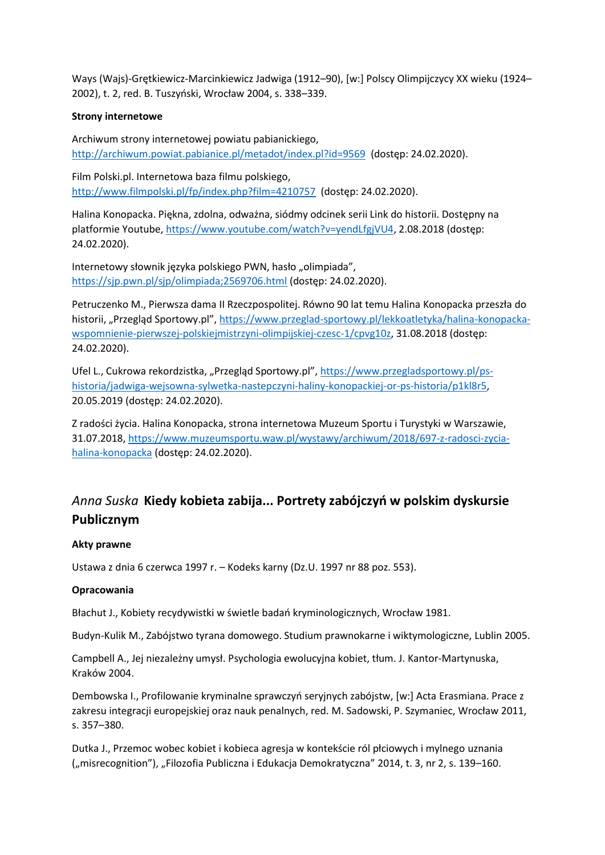Ways (Wajs)-Grętkiewicz-Marcinkiewicz Jadwiga (1912–90), [w:] Polscy Olimpijczycy XX wieku (1924– 2002), t. 2, red. B. Tuszyński, Wrocław 2004, s. 338–339.

#### **Strony internetowe**

Archiwum strony internetowej powiatu pabianickiego, <http://archiwum.powiat.pabianice.pl/metadot/index.pl?id=9569> (dostęp: 24.02.2020).

Film Polski.pl. Internetowa baza filmu polskiego, <http://www.filmpolski.pl/fp/index.php?film=4210757> (dostęp: 24.02.2020).

Halina Konopacka. Piękna, zdolna, odważna, siódmy odcinek serii Link do historii. Dostępny na platformie Youtube, [https://www.youtube.com/watch?v=yendLfgjVU4,](https://www.youtube.com/watch?v=yendLfgjVU4) 2.08.2018 (dostęp: 24.02.2020).

Internetowy słownik języka polskiego PWN, hasło "olimpiada", <https://sjp.pwn.pl/sjp/olimpiada;2569706.html> (dostęp: 24.02.2020).

Petruczenko M., Pierwsza dama II Rzeczpospolitej. Równo 90 lat temu Halina Konopacka przeszła do historii, "Przegląd Sportowy.pl", [https://www.przeglad-sportowy.pl/lekkoatletyka/halina-konopacka](https://www.przeglad-sportowy.pl/lekkoatletyka/halina-konopacka-wspomnienie-pierwszej-polskiejmistrzyni-olimpijskiej-czesc-1/cpvg10z)[wspomnienie-pierwszej-polskiejmistrzyni-olimpijskiej-czesc-1/cpvg10z,](https://www.przeglad-sportowy.pl/lekkoatletyka/halina-konopacka-wspomnienie-pierwszej-polskiejmistrzyni-olimpijskiej-czesc-1/cpvg10z) 31.08.2018 (dostęp: 24.02.2020).

Ufel L., Cukrowa rekordzistka, "Przegląd Sportowy.pl", [https://www.przegladsportowy.pl/ps](https://www.przegladsportowy.pl/ps-historia/jadwiga-wejsowna-sylwetka-nastepczyni-haliny-konopackiej-or-ps-historia/p1kl8r5)[historia/jadwiga-wejsowna-sylwetka-nastepczyni-haliny-konopackiej-or-ps-historia/p1kl8r5,](https://www.przegladsportowy.pl/ps-historia/jadwiga-wejsowna-sylwetka-nastepczyni-haliny-konopackiej-or-ps-historia/p1kl8r5) 20.05.2019 (dostęp: 24.02.2020).

Z radości życia. Halina Konopacka, strona internetowa Muzeum Sportu i Turystyki w Warszawie, 31.07.2018, [https://www.muzeumsportu.waw.pl/wystawy/archiwum/2018/697-z-radosci-zycia](https://www.muzeumsportu.waw.pl/wystawy/archiwum/2018/697-z-radosci-zycia-halina-konopacka)[halina-konopacka](https://www.muzeumsportu.waw.pl/wystawy/archiwum/2018/697-z-radosci-zycia-halina-konopacka) (dostęp: 24.02.2020).

# *Anna Suska* **Kiedy kobieta zabija... Portrety zabójczyń w polskim dyskursie Publicznym**

### **Akty prawne**

Ustawa z dnia 6 czerwca 1997 r. – Kodeks karny (Dz.U. 1997 nr 88 poz. 553).

### **Opracowania**

Błachut J., Kobiety recydywistki w świetle badań kryminologicznych, Wrocław 1981.

Budyn-Kulik M., Zabójstwo tyrana domowego. Studium prawnokarne i wiktymologiczne, Lublin 2005.

Campbell A., Jej niezależny umysł. Psychologia ewolucyjna kobiet, tłum. J. Kantor-Martynuska, Kraków 2004.

Dembowska I., Profilowanie kryminalne sprawczyń seryjnych zabójstw, [w:] Acta Erasmiana. Prace z zakresu integracji europejskiej oraz nauk penalnych, red. M. Sadowski, P. Szymaniec, Wrocław 2011, s. 357–380.

Dutka J., Przemoc wobec kobiet i kobieca agresja w kontekście ról płciowych i mylnego uznania ("misrecognition"), "Filozofia Publiczna i Edukacja Demokratyczna" 2014, t. 3, nr 2, s. 139–160.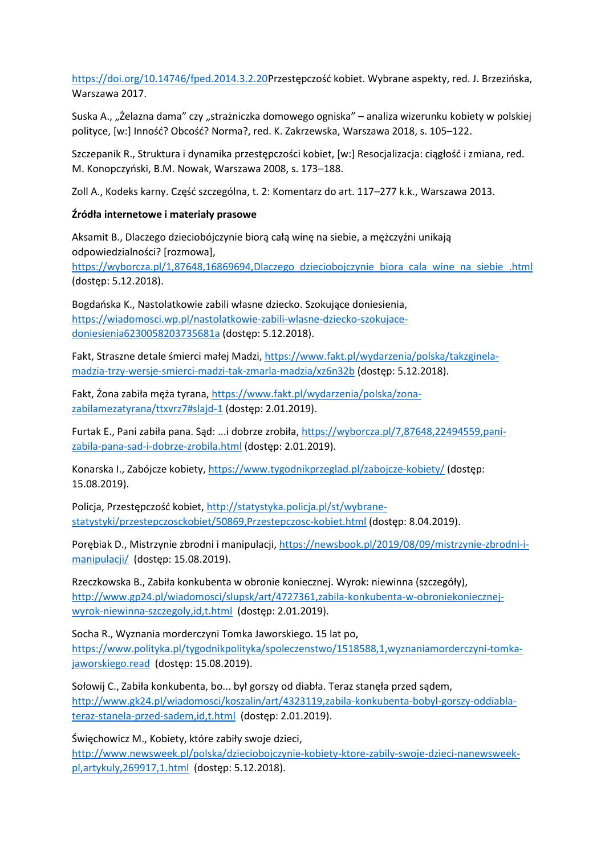<https://doi.org/10.14746/fped.2014.3.2.20>Przestępczość kobiet. Wybrane aspekty, red. J. Brzezińska, Warszawa 2017.

Suska A., "Żelazna dama" czy "strażniczka domowego ogniska" – analiza wizerunku kobiety w polskiej polityce, [w:] Inność? Obcość? Norma?, red. K. Zakrzewska, Warszawa 2018, s. 105–122.

Szczepanik R., Struktura i dynamika przestępczości kobiet, [w:] Resocjalizacja: ciągłość i zmiana, red. M. Konopczyński, B.M. Nowak, Warszawa 2008, s. 173–188.

Zoll A., Kodeks karny. Część szczególna, t. 2: Komentarz do art. 117–277 k.k., Warszawa 2013.

#### **Źródła internetowe i materiały prasowe**

Aksamit B., Dlaczego dzieciobójczynie biorą całą winę na siebie, a mężczyźni unikają odpowiedzialności? [rozmowa], [https://wyborcza.pl/1,87648,16869694,Dlaczego\\_dzieciobojczynie\\_biora\\_cala\\_wine\\_na\\_siebie\\_.html](https://wyborcza.pl/1,87648,16869694,Dlaczego_dzieciobojczynie_biora_cala_wine_na_siebie_.html) (dostęp: 5.12.2018).

Bogdańska K., Nastolatkowie zabili własne dziecko. Szokujące doniesienia, [https://wiadomosci.wp.pl/nastolatkowie-zabili-wlasne-dziecko-szokujace](https://wiadomosci.wp.pl/nastolatkowie-zabili-wlasne-dziecko-szokujace-doniesienia6230058203735681a)[doniesienia6230058203735681a](https://wiadomosci.wp.pl/nastolatkowie-zabili-wlasne-dziecko-szokujace-doniesienia6230058203735681a) (dostęp: 5.12.2018).

Fakt, Straszne detale śmierci małej Madzi, [https://www.fakt.pl/wydarzenia/polska/takzginela](https://www.fakt.pl/wydarzenia/polska/takzginela-madzia-trzy-wersje-smierci-madzi-tak-zmarla-madzia/xz6n32b)[madzia-trzy-wersje-smierci-madzi-tak-zmarla-madzia/xz6n32b](https://www.fakt.pl/wydarzenia/polska/takzginela-madzia-trzy-wersje-smierci-madzi-tak-zmarla-madzia/xz6n32b) (dostęp: 5.12.2018).

Fakt, Żona zabiła męża tyrana, [https://www.fakt.pl/wydarzenia/polska/zona](https://www.fakt.pl/wydarzenia/polska/zona-zabilamezatyrana/ttxvrz7#slajd-1)[zabilamezatyrana/ttxvrz7#slajd-1](https://www.fakt.pl/wydarzenia/polska/zona-zabilamezatyrana/ttxvrz7#slajd-1) (dostęp: 2.01.2019).

Furtak E., Pani zabiła pana. Sąd: ...i dobrze zrobiła, [https://wyborcza.pl/7,87648,22494559,pani](https://wyborcza.pl/7,87648,22494559,pani-zabila-pana-sad-i-dobrze-zrobila.html)[zabila-pana-sad-i-dobrze-zrobila.html](https://wyborcza.pl/7,87648,22494559,pani-zabila-pana-sad-i-dobrze-zrobila.html) (dostęp: 2.01.2019).

Konarska I., Zabójcze kobiety, <https://www.tygodnikprzeglad.pl/zabojcze-kobiety/> (dostęp: 15.08.2019).

Policja, Przestępczość kobiet, [http://statystyka.policja.pl/st/wybrane](http://statystyka.policja.pl/st/wybrane-statystyki/przestepczosckobiet/50869,Przestepczosc-kobiet.html)[statystyki/przestepczosckobiet/50869,Przestepczosc-kobiet.html](http://statystyka.policja.pl/st/wybrane-statystyki/przestepczosckobiet/50869,Przestepczosc-kobiet.html) (dostęp: 8.04.2019).

Porębiak D., Mistrzynie zbrodni i manipulacji, [https://newsbook.pl/2019/08/09/mistrzynie-zbrodni-i](https://newsbook.pl/2019/08/09/mistrzynie-zbrodni-i-manipulacji/)[manipulacji/](https://newsbook.pl/2019/08/09/mistrzynie-zbrodni-i-manipulacji/) (dostęp: 15.08.2019).

Rzeczkowska B., Zabiła konkubenta w obronie koniecznej. Wyrok: niewinna (szczegóły), [http://www.gp24.pl/wiadomosci/slupsk/art/4727361,zabila-konkubenta-w-obroniekoniecznej](http://www.gp24.pl/wiadomosci/slupsk/art/4727361,zabila-konkubenta-w-obroniekoniecznej-wyrok-niewinna-szczegoly,id,t.html)[wyrok-niewinna-szczegoly,id,t.html](http://www.gp24.pl/wiadomosci/slupsk/art/4727361,zabila-konkubenta-w-obroniekoniecznej-wyrok-niewinna-szczegoly,id,t.html) (dostęp: 2.01.2019).

Socha R., Wyznania morderczyni Tomka Jaworskiego. 15 lat po, [https://www.polityka.pl/tygodnikpolityka/spoleczenstwo/1518588,1,wyznaniamorderczyni-tomka](https://www.polityka.pl/tygodnikpolityka/spoleczenstwo/1518588,1,wyznaniamorderczyni-tomka-jaworskiego.read)[jaworskiego.read](https://www.polityka.pl/tygodnikpolityka/spoleczenstwo/1518588,1,wyznaniamorderczyni-tomka-jaworskiego.read) (dostęp: 15.08.2019).

Sołowij C., Zabiła konkubenta, bo... był gorszy od diabła. Teraz stanęła przed sądem, [http://www.gk24.pl/wiadomosci/koszalin/art/4323119,zabila-konkubenta-bobyl-gorszy-oddiabla](http://www.gk24.pl/wiadomosci/koszalin/art/4323119,zabila-konkubenta-bobyl-gorszy-oddiabla-teraz-stanela-przed-sadem,id,t.html)[teraz-stanela-przed-sadem,id,t.html](http://www.gk24.pl/wiadomosci/koszalin/art/4323119,zabila-konkubenta-bobyl-gorszy-oddiabla-teraz-stanela-przed-sadem,id,t.html) (dostęp: 2.01.2019).

Święchowicz M., Kobiety, które zabiły swoje dzieci,

[http://www.newsweek.pl/polska/dzieciobojczynie-kobiety-ktore-zabily-swoje-dzieci-nanewsweek](http://www.newsweek.pl/polska/dzieciobojczynie-kobiety-ktore-zabily-swoje-dzieci-nanewsweek-pl,artykuly,269917,1.html)[pl,artykuly,269917,1.html](http://www.newsweek.pl/polska/dzieciobojczynie-kobiety-ktore-zabily-swoje-dzieci-nanewsweek-pl,artykuly,269917,1.html) (dostęp: 5.12.2018).